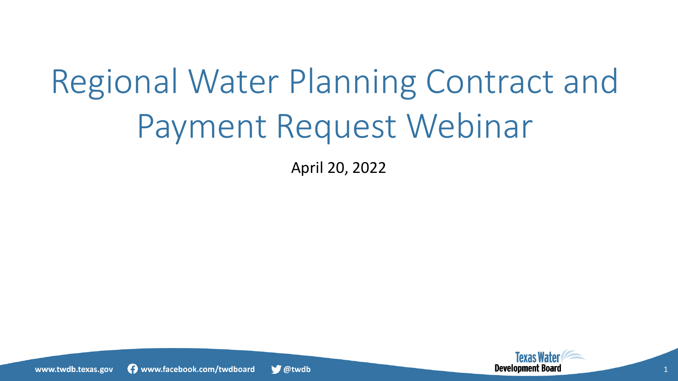# Regional Water Planning Contract and Payment Request Webinar

April 20, 2022



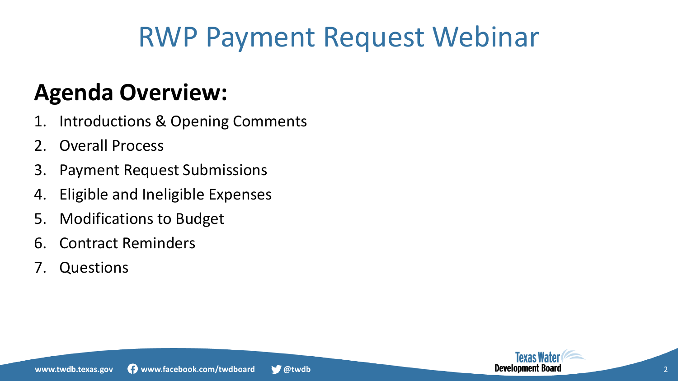### RWP Payment Request Webinar

### **Agenda Overview:**

- 1. Introductions & Opening Comments
- 2. Overall Process
- 3. Payment Request Submissions
- 4. Eligible and Ineligible Expenses
- 5. Modifications to Budget
- 6. Contract Reminders
- 7. Questions

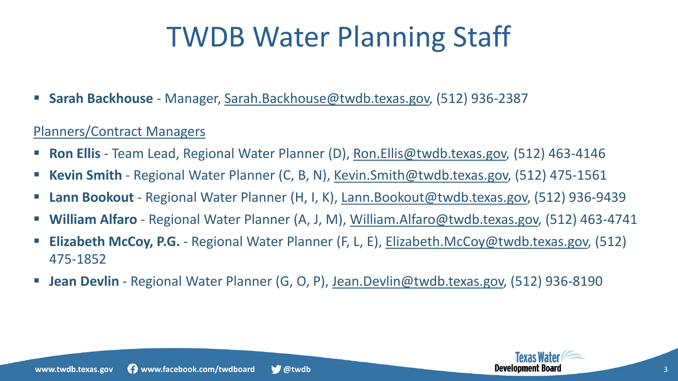## TWDB Water Planning Staff

**Sarah Backhouse** - Manager, [Sarah.Backhouse@twdb.texas.gov,](mailto:Sarah.Backhouse@twdb.texas.gov) (512) 936-2387

### Planners/Contract Managers

- Ron Ellis Team Lead, Regional Water Planner (D), [Ron.Ellis@twdb.texas.gov,](mailto:ron.ellis@twdb.texas.gov) (512) 463-4146
- **Kevin Smith**  Regional Water Planner (C, B, N), [Kevin.Smith@twdb.texas.gov,](mailto:kevin.smith@twdb.texas.gov) (512) 475-1561
- Lann Bookout Regional Water Planner (H, I, K), [Lann.Bookout@twdb.texas.gov,](mailto:lann.bookout@twdb.texas.gov) (512) 936-9439
- **William Alfaro**  Regional Water Planner (A, J, M), [William.Alfaro@twdb.texas.gov,](mailto:william.alfaro@twdb.texas.gov) (512) 463-4741
- **Elizabeth McCoy, P.G.**  Regional Water Planner (F, L, E), [Elizabeth.McCoy@twdb.texas.gov,](mailto:elizabeth.mccoy@twdb.texas.gov) (512) 475-1852
- Jean Devlin Regional Water Planner (G, O, P), [Jean.Devlin@twdb.texas.gov,](mailto:jean.devlin@twdb.texas.gov) (512) 936-8190

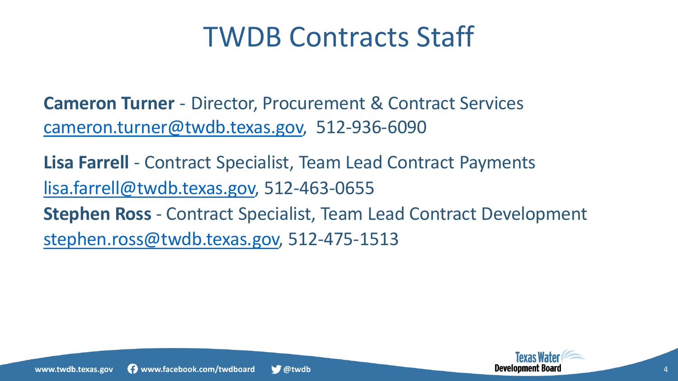### TWDB Contracts Staff

**Cameron Turner** - Director, Procurement & Contract Services [cameron.turner@twdb.texas.gov,](mailto:cameron.turner@twdb.Texas.gov) 512-936-6090

**Lisa Farrell** - Contract Specialist, Team Lead Contract Payments [lisa.farrell@twdb.texas.gov,](mailto:lisa.farrell@twdb.texas.gov) 512-463-0655 **Stephen Ross** - Contract Specialist, Team Lead Contract Development [stephen.ross@twdb.texas.gov,](mailto:stephen.ross@twdb.texas.gov) 512-475-1513



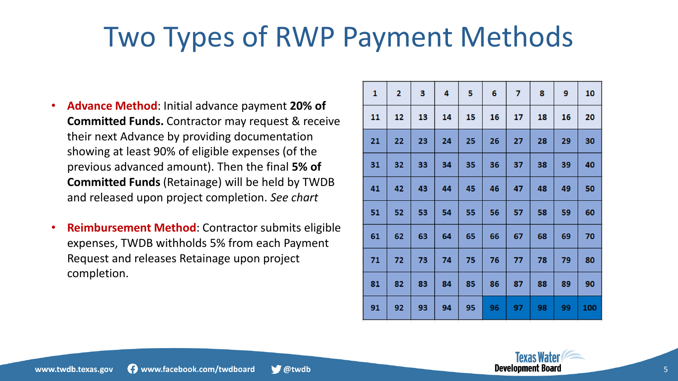## Two Types of RWP Payment Methods

- **Advance Method**: Initial advance payment **20% of Committed Funds.** Contractor may request & receive their next Advance by providing documentation showing at least 90% of eligible expenses (of the previous advanced amount). Then the final **5% of Committed Funds** (Retainage) will be held by TWDB and released upon project completion. *See chart*
- **Reimbursement Method**: Contractor submits eligible expenses, TWDB withholds 5% from each Payment Request and releases Retainage upon project completion.

| 1  | $\overline{2}$ | 3  | 4  | 5  | 6  | 7  | 8  | 9  | 10  |
|----|----------------|----|----|----|----|----|----|----|-----|
| 11 | 12             | 13 | 14 | 15 | 16 | 17 | 18 | 16 | 20  |
| 21 | 22             | 23 | 24 | 25 | 26 | 27 | 28 | 29 | 30  |
| 31 | 32             | 33 | 34 | 35 | 36 | 37 | 38 | 39 | 40  |
| 41 | 42             | 43 | 44 | 45 | 46 | 47 | 48 | 49 | 50  |
| 51 | 52             | 53 | 54 | 55 | 56 | 57 | 58 | 59 | 60  |
| 61 | 62             | 63 | 64 | 65 | 66 | 67 | 68 | 69 | 70  |
| 71 | 72             | 73 | 74 | 75 | 76 | 77 | 78 | 79 | 80  |
| 81 | 82             | 83 | 84 | 85 | 86 | 87 | 88 | 89 | 90  |
| 91 | 92             | 93 | 94 | 95 | 96 | 97 | 98 | 99 | 100 |

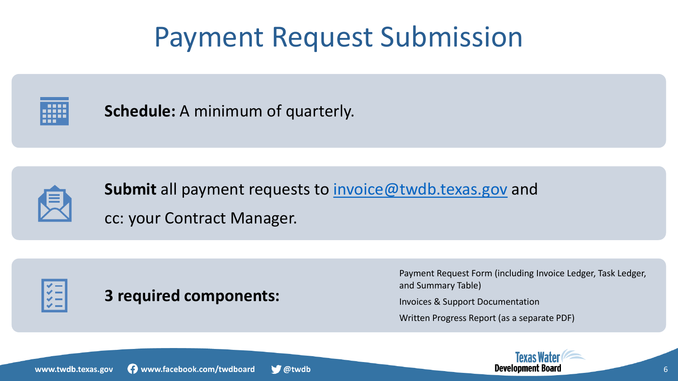### Payment Request Submission



**Schedule:** A minimum of quarterly.



**Submit** all payment requests to *invoice@twdb.texas.gov* and cc: your Contract Manager.



### **3 required components:**

Payment Request Form (including Invoice Ledger, Task Ledger, and Summary Table)

Invoices & Support Documentation

Written Progress Report (as a separate PDF)

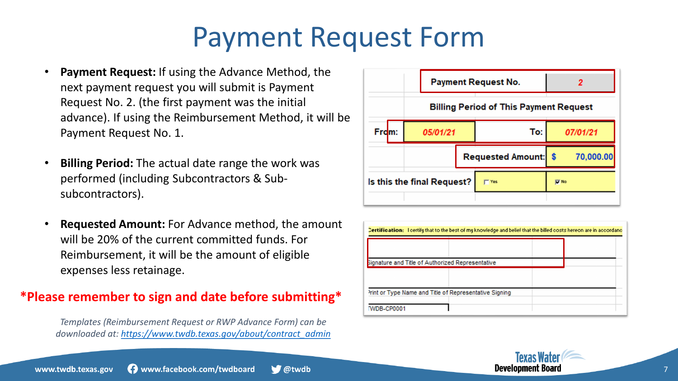### Payment Request Form

- **Payment Request:** If using the Advance Method, the next payment request you will submit is Payment Request No. 2. (the first payment was the initial advance). If using the Reimbursement Method, it will be Payment Request No. 1.
- **Billing Period:** The actual date range the work was performed (including Subcontractors & Subsubcontractors).
- **Requested Amount:** For Advance method, the amount will be 20% of the current committed funds. For Reimbursement, it will be the amount of eligible expenses less retainage.

#### **\*Please remember to sign and date before submitting\***

*Templates (Reimbursement Request or RWP Advance Form) can be downloaded at: [https://www.twdb.texas.gov/about/contract\\_admin](https://www.twdb.texas.gov/about/contract_admin)*



| Dertification: I certify that to the best of my knowledge and belief that the billed costs hereon are in accordanc |  |  |  |  |  |  |  |  |
|--------------------------------------------------------------------------------------------------------------------|--|--|--|--|--|--|--|--|
|                                                                                                                    |  |  |  |  |  |  |  |  |
|                                                                                                                    |  |  |  |  |  |  |  |  |
|                                                                                                                    |  |  |  |  |  |  |  |  |
| Signature and Title of Authorized Representative                                                                   |  |  |  |  |  |  |  |  |
|                                                                                                                    |  |  |  |  |  |  |  |  |
|                                                                                                                    |  |  |  |  |  |  |  |  |
| Print or Type Name and Title of Representative Signing                                                             |  |  |  |  |  |  |  |  |
| TWDB-CP0001                                                                                                        |  |  |  |  |  |  |  |  |

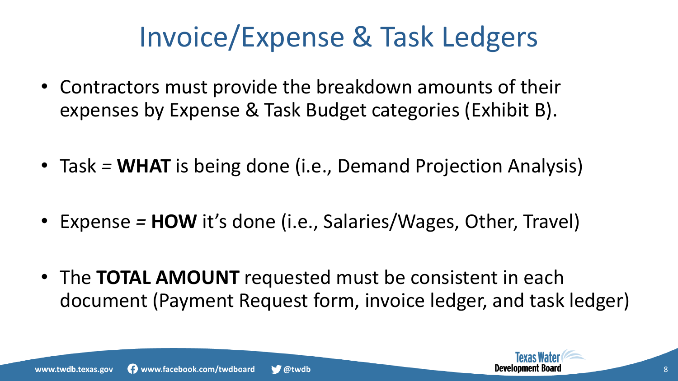## Invoice/Expense & Task Ledgers

- Contractors must provide the breakdown amounts of their expenses by Expense & Task Budget categories (Exhibit B).
- Task *=* **WHAT** is being done (i.e., Demand Projection Analysis)
- Expense *=* **HOW** it's done (i.e., Salaries/Wages, Other, Travel)
- The **TOTAL AMOUNT** requested must be consistent in each document (Payment Request form, invoice ledger, and task ledger)

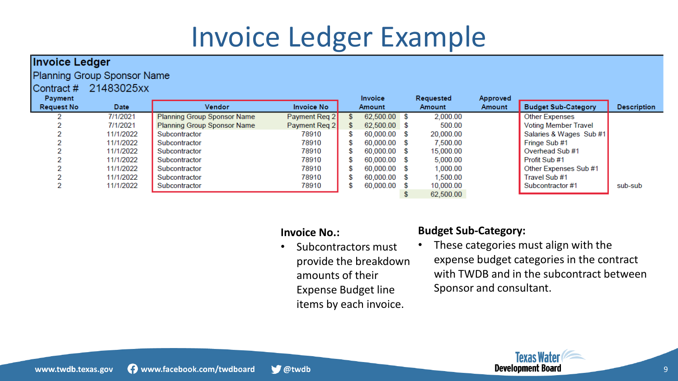## Invoice Ledger Example

| <b>Invoice Ledger</b>       |           |                             |                   |  |              |  |           |          |                             |                    |  |
|-----------------------------|-----------|-----------------------------|-------------------|--|--------------|--|-----------|----------|-----------------------------|--------------------|--|
| Planning Group Sponsor Name |           |                             |                   |  |              |  |           |          |                             |                    |  |
| 21483025xx<br>Contract#     |           |                             |                   |  |              |  |           |          |                             |                    |  |
| Payment                     |           |                             |                   |  | Invoice      |  | Requested | Approved |                             |                    |  |
| <b>Request No</b>           | Date      | Vendor                      | <b>Invoice No</b> |  | Amount       |  | Amount    | Amount   | <b>Budget Sub-Category</b>  | <b>Description</b> |  |
|                             | 7/1/2021  | Planning Group Sponsor Name | Payment Req 2     |  | 62,500.00 \$ |  | 2,000.00  |          | <b>Other Expenses</b>       |                    |  |
|                             | 7/1/2021  | Planning Group Sponsor Name | Payment Req 2     |  | 62,500.00 \$ |  | 500.00    |          | <b>Voting Member Travel</b> |                    |  |
|                             | 11/1/2022 | Subcontractor               | 78910             |  | 60,000.00 \$ |  | 20,000.00 |          | Salaries & Wages Sub #1     |                    |  |
|                             | 11/1/2022 | Subcontractor               | 78910             |  | 60,000.00 \$ |  | 7,500.00  |          | Fringe Sub #1               |                    |  |
|                             | 11/1/2022 | Subcontractor               | 78910             |  | 60,000.00 \$ |  | 15,000.00 |          | Overhead Sub #1             |                    |  |
|                             | 11/1/2022 | Subcontractor               | 78910             |  | 60,000.00 \$ |  | 5,000.00  |          | Profit Sub #1               |                    |  |
|                             | 11/1/2022 | Subcontractor               | 78910             |  | 60,000.00 \$ |  | 1,000.00  |          | Other Expenses Sub #1       |                    |  |
|                             | 11/1/2022 | Subcontractor               | 78910             |  | 60,000.00 \$ |  | 1,500.00  |          | Travel Sub #1               |                    |  |
|                             | 11/1/2022 | Subcontractor               | 78910             |  | 60,000.00 \$ |  | 10,000.00 |          | Subcontractor #1            | sub-sub            |  |
|                             |           |                             |                   |  |              |  | 62,500.00 |          |                             |                    |  |

#### **Invoice No.:**

• Subcontractors must provide the breakdown amounts of their Expense Budget line items by each invoice.

#### **Budget Sub-Category:**

These categories must align with the expense budget categories in the contract with TWDB and in the subcontract between Sponsor and consultant.

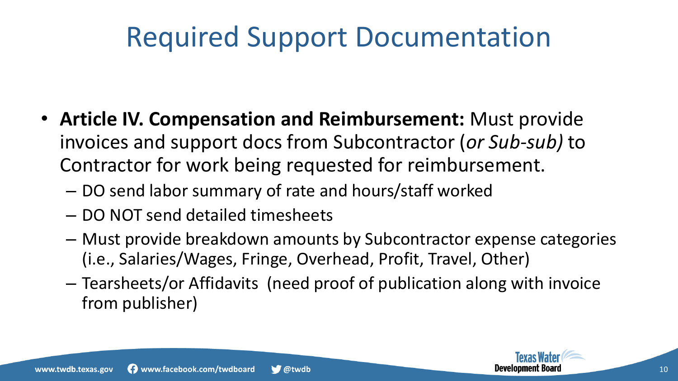## Required Support Documentation

- **Article IV. Compensation and Reimbursement:** Must provide invoices and support docs from Subcontractor (*or Sub-sub)* to Contractor for work being requested for reimbursement.
	- DO send labor summary of rate and hours/staff worked
	- DO NOT send detailed timesheets
	- Must provide breakdown amounts by Subcontractor expense categories (i.e., Salaries/Wages, Fringe, Overhead, Profit, Travel, Other)
	- Tearsheets/or Affidavits (need proof of publication along with invoice from publisher)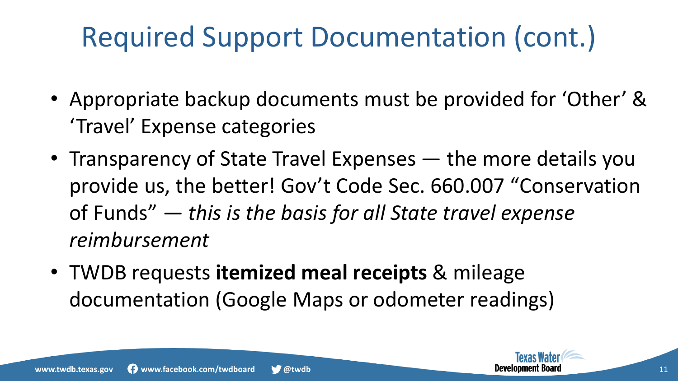# Required Support Documentation (cont.)

- Appropriate backup documents must be provided for 'Other' & 'Travel' Expense categories
- Transparency of State Travel Expenses the more details you provide us, the better! Gov't Code Sec. 660.007 "Conservation of Funds" — *this is the basis for all State travel expense reimbursement*
- TWDB requests **itemized meal receipts** & mileage documentation (Google Maps or odometer readings)

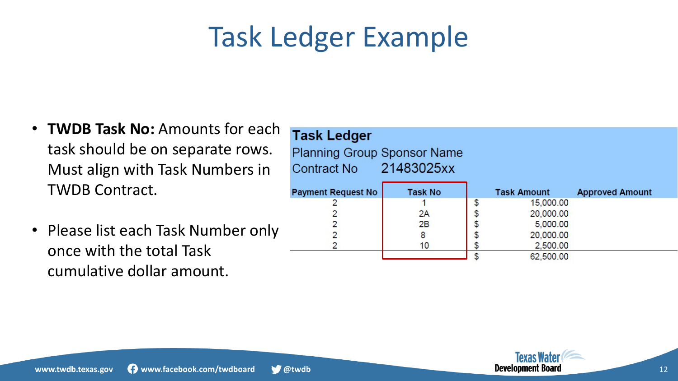## Task Ledger Example

- **TWDB Task No:** Amounts for each task should be on separate rows. Must align with Task Numbers in TWDB Contract.
- Please list each Task Number only once with the total Task cumulative dollar amount.

### **Task Ledger**

 $\bigtriangledown$  @twdb

**Planning Group Sponsor Name** 21483025xx **Contract No** 

| <b>Payment Request No</b> | <b>Task No</b> | <b>Task Amount</b> | <b>Approved Amount</b> |
|---------------------------|----------------|--------------------|------------------------|
|                           |                | 15,000.00          |                        |
|                           | 2A             | 20,000.00          |                        |
|                           | 2B             | 5,000.00           |                        |
|                           | 8              | 20,000.00          |                        |
|                           | 10             | 2,500.00           |                        |
|                           |                | 62,500.00          |                        |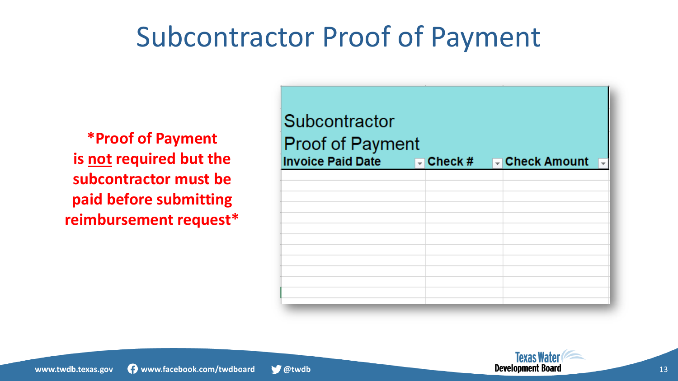### Subcontractor Proof of Payment

**\*Proof of Payment is not required but the subcontractor must be paid before submitting reimbursement request\***

| Subcontractor<br><b>Proof of Payment</b><br><b>Invoice Paid Date</b> | $\Box$ Check # | $\Box$ Check Amount |
|----------------------------------------------------------------------|----------------|---------------------|
|                                                                      |                |                     |
|                                                                      |                |                     |
|                                                                      |                |                     |
|                                                                      |                |                     |
|                                                                      |                |                     |

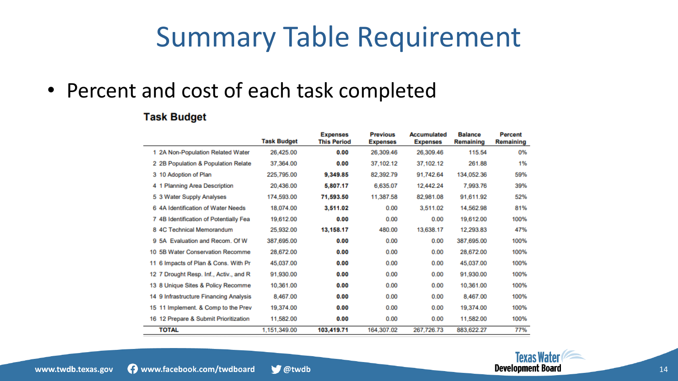### Summary Table Requirement

### • Percent and cost of each task completed

#### **Task Budget**

|                                            | <b>Task Budget</b> | <b>Expenses</b><br><b>This Period</b> | <b>Previous</b><br><b>Expenses</b> | <b>Accumulated</b><br><b>Expenses</b> | <b>Balance</b><br>Remaining | <b>Percent</b><br>Remaining |
|--------------------------------------------|--------------------|---------------------------------------|------------------------------------|---------------------------------------|-----------------------------|-----------------------------|
| 1 2A Non-Population Related Water          | 26,425.00          | 0.00                                  | 26.309.46                          | 26.309.46                             | 115.54                      | 0%                          |
| 2 2B Population & Population Relate        | 37.364.00          | 0.00                                  | 37,102.12                          | 37.102.12                             | 261.88                      | 1%                          |
| 3 10 Adoption of Plan                      | 225.795.00         | 9,349.85                              | 82,392.79                          | 91.742.64                             | 134,052.36                  | 59%                         |
| <b>Planning Area Description</b><br>41     | 20.436.00          | 5,807.17                              | 6,635.07                           | 12.442.24                             | 7.993.76                    | 39%                         |
| 5 3 Water Supply Analyses                  | 174,593.00         | 71,593.50                             | 11,387.58                          | 82,981.08                             | 91.611.92                   | 52%                         |
| 6 4A Identification of Water Needs         | 18.074.00          | 3,511.02                              | 0.00                               | 3.511.02                              | 14,562.98                   | 81%                         |
| 7 4B Identification of Potentially Fea     | 19.612.00          | 0.00                                  | 0.00                               | 0.00                                  | 19,612.00                   | 100%                        |
| 8 4C Technical Memorandum                  | 25.932.00          | 13,158.17                             | 480.00                             | 13,638.17                             | 12.293.83                   | 47%                         |
| 9 5A Evaluation and Recom. Of W            | 387,695.00         | 0.00                                  | 0.00                               | 0.00                                  | 387,695.00                  | 100%                        |
| <b>5B Water Conservation Recomme</b><br>10 | 28,672.00          | 0.00                                  | 0.00                               | 0.00                                  | 28,672.00                   | 100%                        |
| 11 6 Impacts of Plan & Cons. With Pr       | 45,037.00          | 0.00                                  | 0.00                               | 0.00                                  | 45.037.00                   | 100%                        |
| 7 Drought Resp. Inf., Activ., and R<br>12  | 91,930.00          | 0.00                                  | 0.00                               | 0.00                                  | 91,930.00                   | 100%                        |
| 13 8 Unique Sites & Policy Recomme         | 10.361.00          | 0.00                                  | 0.00                               | 0.00                                  | 10,361.00                   | 100%                        |
| 14 9 Infrastructure Financing Analysis     | 8.467.00           | 0.00                                  | 0.00                               | 0.00                                  | 8,467.00                    | 100%                        |
| 15 11 Implement. & Comp to the Prev        | 19.374.00          | 0.00                                  | 0.00                               | 0.00                                  | 19,374.00                   | 100%                        |
| 16 12 Prepare & Submit Prioritization      | 11,582.00          | 0.00                                  | 0.00                               | 0.00                                  | 11,582.00                   | 100%                        |
| <b>TOTAL</b>                               | 1,151,349.00       | 103,419.71                            | 164,307.02                         | 267.726.73                            | 883,622.27                  | 77%                         |

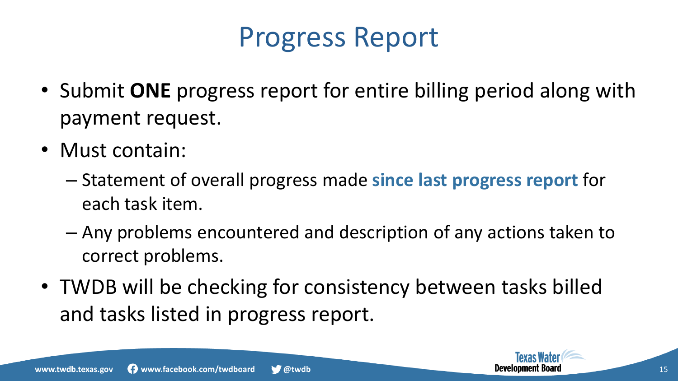### Progress Report

- Submit **ONE** progress report for entire billing period along with payment request.
- Must contain:
	- Statement of overall progress made **since last progress report** for each task item.
	- Any problems encountered and description of any actions taken to correct problems.
- TWDB will be checking for consistency between tasks billed and tasks listed in progress report.



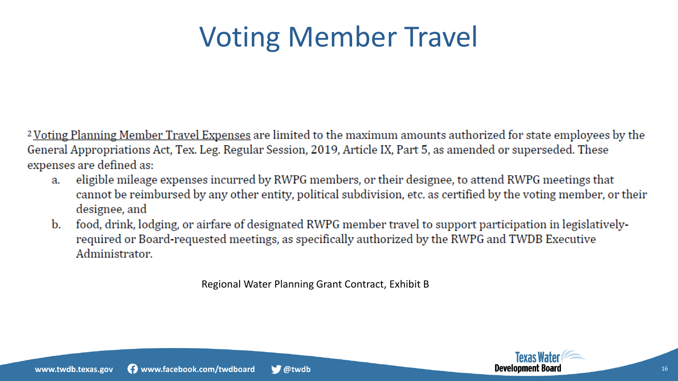## Voting Member Travel

<sup>2</sup> Voting Planning Member Travel Expenses are limited to the maximum amounts authorized for state employees by the General Appropriations Act, Tex. Leg. Regular Session, 2019, Article IX, Part 5, as amended or superseded. These expenses are defined as:

- eligible mileage expenses incurred by RWPG members, or their designee, to attend RWPG meetings that a. cannot be reimbursed by any other entity, political subdivision, etc. as certified by the voting member, or their designee, and
- food, drink, lodging, or airfare of designated RWPG member travel to support participation in legislativelyb. required or Board-requested meetings, as specifically authorized by the RWPG and TWDB Executive Administrator.

Regional Water Planning Grant Contract, Exhibit B

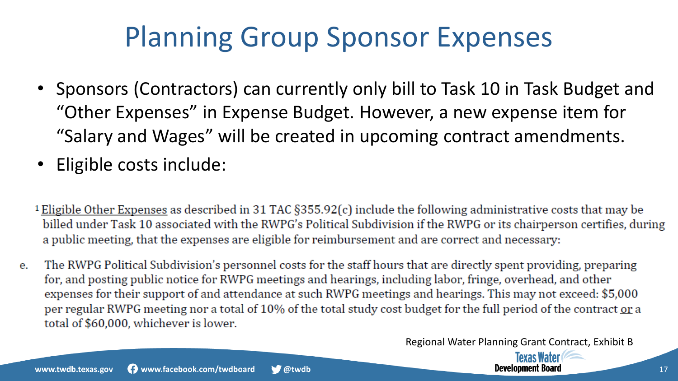### Planning Group Sponsor Expenses

- Sponsors (Contractors) can currently only bill to Task 10 in Task Budget and "Other Expenses" in Expense Budget. However, a new expense item for "Salary and Wages" will be created in upcoming contract amendments.
- Eligible costs include:
- <sup>1</sup> Eligible Other Expenses as described in 31 TAC  $\S355.92(c)$  include the following administrative costs that may be billed under Task 10 associated with the RWPG's Political Subdivision if the RWPG or its chairperson certifies, during a public meeting, that the expenses are eligible for reimbursement and are correct and necessary:
- The RWPG Political Subdivision's personnel costs for the staff hours that are directly spent providing, preparing е. for, and posting public notice for RWPG meetings and hearings, including labor, fringe, overhead, and other expenses for their support of and attendance at such RWPG meetings and hearings. This may not exceed: \$5,000 per regular RWPG meeting nor a total of 10% of the total study cost budget for the full period of the contract or a total of \$60,000, whichever is lower.

Regional Water Planning Grant Contract, Exhibit B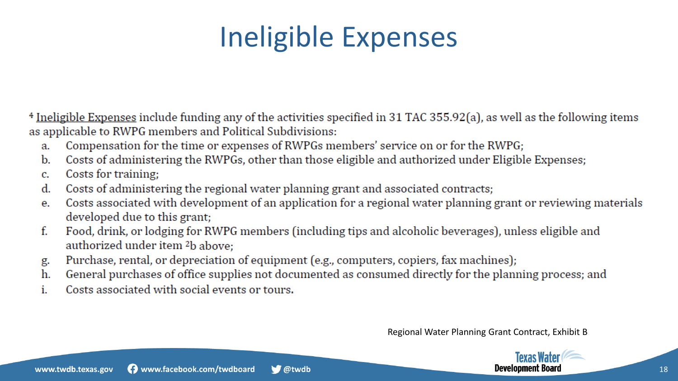## Ineligible Expenses

<sup>4</sup> Ineligible Expenses include funding any of the activities specified in 31 TAC 355.92(a), as well as the following items as applicable to RWPG members and Political Subdivisions:

- Compensation for the time or expenses of RWPGs members' service on or for the RWPG; a.
- Costs of administering the RWPGs, other than those eligible and authorized under Eligible Expenses;  $\mathbf{b}$ .
- Costs for training;  $\mathbf{c}$ .
- Costs of administering the regional water planning grant and associated contracts; d.
- Costs associated with development of an application for a regional water planning grant or reviewing materials e. developed due to this grant;
- Food, drink, or lodging for RWPG members (including tips and alcoholic beverages), unless eligible and f. authorized under item <sup>2</sup>b above;
- Purchase, rental, or depreciation of equipment (e.g., computers, copiers, fax machines); g.
- General purchases of office supplies not documented as consumed directly for the planning process; and h.
- Costs associated with social events or tours. i.

Regional Water Planning Grant Contract, Exhibit B

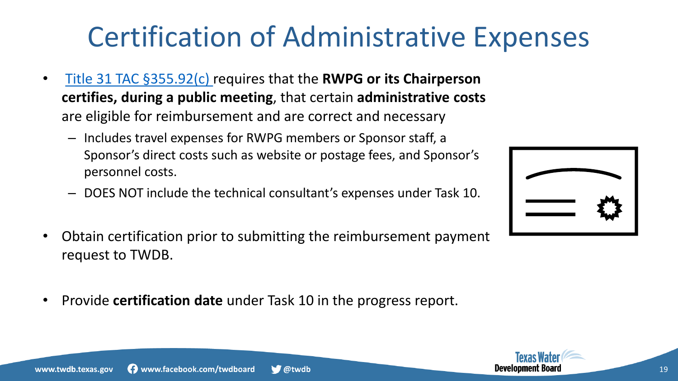### are eligible for reimbursement and are correct and necessary

– Includes travel expenses for RWPG members or Sponsor staff, a Sponsor's direct costs such as website or postage fees, and Sponsor's personnel costs.

• [Title 31 TAC §355.92\(c\) r](https://texreg.sos.state.tx.us/public/readtac$ext.TacPage?sl=R&app=9&p_dir=&p_rloc=&p_tloc=&p_ploc=&pg=1&p_tac=&ti=31&pt=10&ch=355&rl=92)equires that the **RWPG or its Chairperson** 

**certifies, during a public meeting**, that certain **administrative costs** 

- DOES NOT include the technical consultant's expenses under Task 10.
- Obtain certification prior to submitting the reimbursement payment request to TWDB.

 $\bigtriangledown$  @twdb

• Provide **certification date** under Task 10 in the progress report.

## Certification of Administrative Expenses



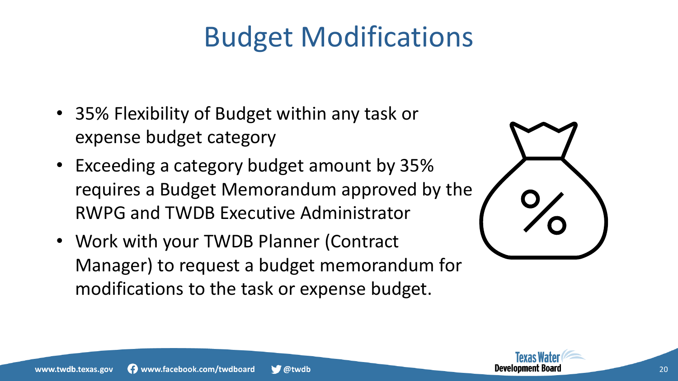## Budget Modifications

- 35% Flexibility of Budget within any task or expense budget category
- Exceeding a category budget amount by 35% requires a Budget Memorandum approved by the RWPG and TWDB Executive Administrator
- Work with your TWDB Planner (Contract Manager) to request a budget memorandum for modifications to the task or expense budget.



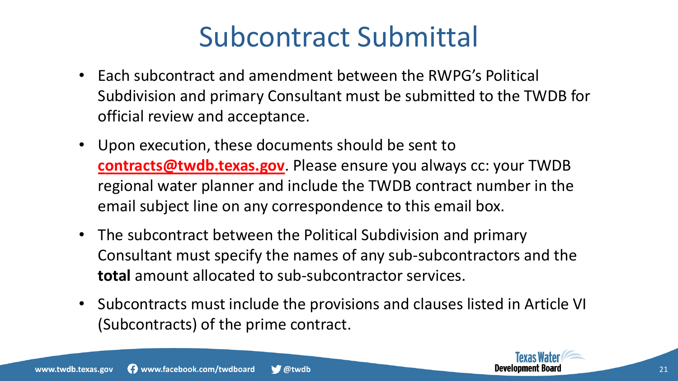### Subcontract Submittal

- Each subcontract and amendment between the RWPG's Political Subdivision and primary Consultant must be submitted to the TWDB for official review and acceptance.
- Upon execution, these documents should be sent to **c[ontracts@twdb.texas.gov](mailto:Contracts@twdb.texas.gov)**. Please ensure you always cc: your TWDB regional water planner and include the TWDB contract number in the email subject line on any correspondence to this email box.
- The subcontract between the Political Subdivision and primary Consultant must specify the names of any sub-subcontractors and the **total** amount allocated to sub-subcontractor services.
- Subcontracts must include the provisions and clauses listed in Article VI (Subcontracts) of the prime contract.

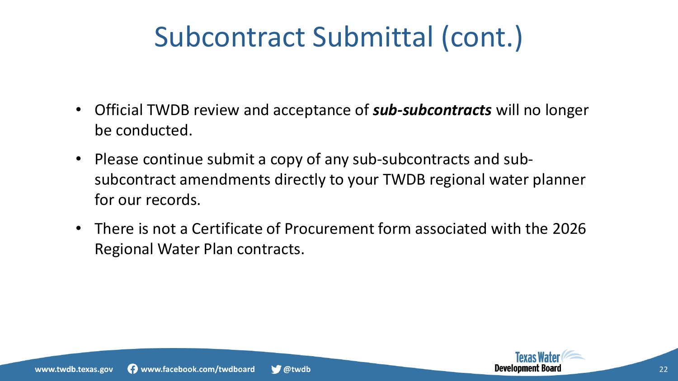## Subcontract Submittal (cont.)

- Official TWDB review and acceptance of *sub-subcontracts* will no longer be conducted.
- Please continue submit a copy of any sub-subcontracts and subsubcontract amendments directly to your TWDB regional water planner for our records.
- There is not a Certificate of Procurement form associated with the 2026 Regional Water Plan contracts.

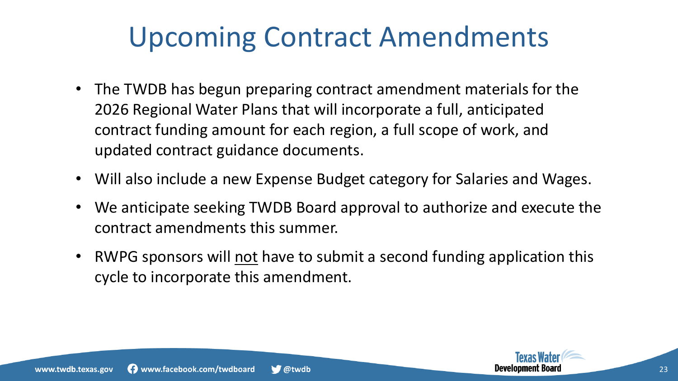### Upcoming Contract Amendments

- The TWDB has begun preparing contract amendment materials for the 2026 Regional Water Plans that will incorporate a full, anticipated contract funding amount for each region, a full scope of work, and updated contract guidance documents.
- Will also include a new Expense Budget category for Salaries and Wages.
- We anticipate seeking TWDB Board approval to authorize and execute the contract amendments this summer.
- RWPG sponsors will not have to submit a second funding application this cycle to incorporate this amendment.